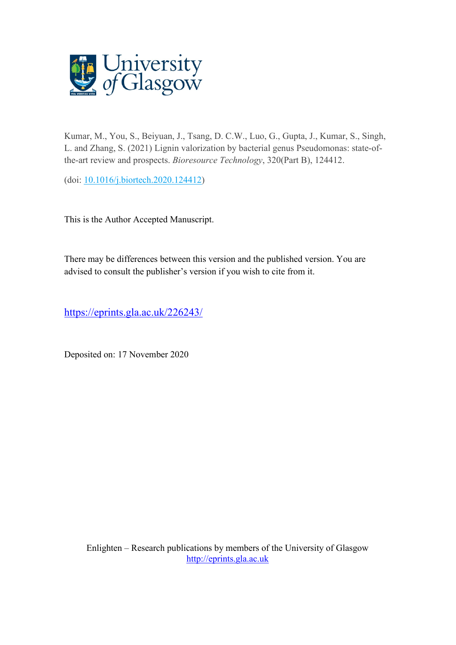

Kumar, M., You, S., Beiyuan, J., Tsang, D. C.W., Luo, G., Gupta, J., Kumar, S., Singh, L. and Zhang, S. (2021) Lignin valorization by bacterial genus Pseudomonas: state-ofthe-art review and prospects. *Bioresource Technology*, 320(Part B), 124412.

(doi: [10.1016/j.biortech.2020.124412\)](http://dx.doi.org/10.1016/j.biortech.2020.124412)

This is the Author Accepted Manuscript.

There may be differences between this version and the published version. You are advised to consult the publisher's version if you wish to cite from it.

<https://eprints.gla.ac.uk/226243/>

Deposited on: 17 November 2020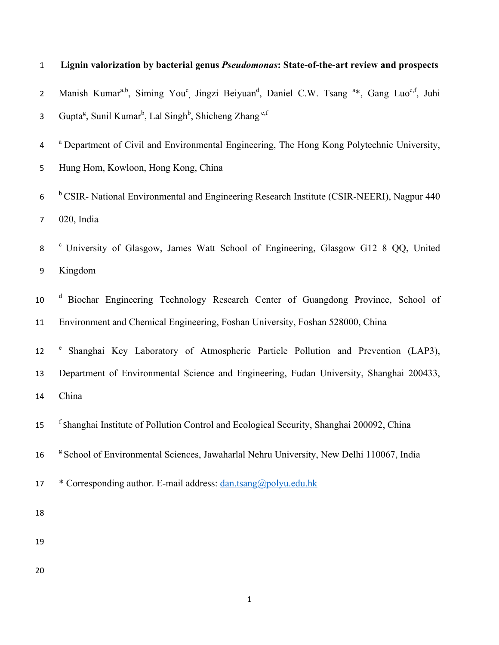| $\mathbf 1$      | Lignin valorization by bacterial genus Pseudomonas: State-of-the-art review and prospects                                                            |
|------------------|------------------------------------------------------------------------------------------------------------------------------------------------------|
| $\mathbf{2}$     | Manish Kumar <sup>a,b</sup> , Siming You <sup>c</sup> Jingzi Beiyuan <sup>d</sup> , Daniel C.W. Tsang <sup>a*</sup> , Gang Luo <sup>e,f</sup> , Juhi |
| 3                | Gupta <sup>g</sup> , Sunil Kumar <sup>b</sup> , Lal Singh <sup>b</sup> , Shicheng Zhang <sup>e,f</sup>                                               |
| 4                | <sup>a</sup> Department of Civil and Environmental Engineering, The Hong Kong Polytechnic University,                                                |
| 5                | Hung Hom, Kowloon, Hong Kong, China                                                                                                                  |
| $\boldsymbol{6}$ | <sup>b</sup> CSIR- National Environmental and Engineering Research Institute (CSIR-NEERI), Nagpur 440                                                |
| $\overline{7}$   | 020, India                                                                                                                                           |
| 8                | <sup>c</sup> University of Glasgow, James Watt School of Engineering, Glasgow G12 8 QQ, United                                                       |
| 9                | Kingdom                                                                                                                                              |
| 10               | Biochar Engineering Technology Research Center of Guangdong Province, School of                                                                      |
| 11               | Environment and Chemical Engineering, Foshan University, Foshan 528000, China                                                                        |
| 12               | Shanghai Key Laboratory of Atmospheric Particle Pollution and Prevention (LAP3),                                                                     |
| 13               | Department of Environmental Science and Engineering, Fudan University, Shanghai 200433,                                                              |
| 14               | China                                                                                                                                                |
| 15               | <sup>f</sup> Shanghai Institute of Pollution Control and Ecological Security, Shanghai 200092, China                                                 |
| 16               | <sup>g</sup> School of Environmental Sciences, Jawaharlal Nehru University, New Delhi 110067, India                                                  |
| 17               | * Corresponding author. E-mail address: dan.tsang@polyu.edu.hk                                                                                       |
| 18               |                                                                                                                                                      |
| 19               |                                                                                                                                                      |
| 20               |                                                                                                                                                      |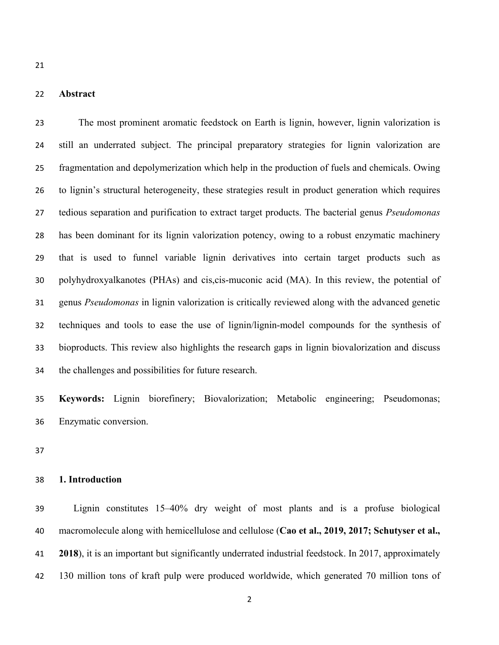# **Abstract**

 The most prominent aromatic feedstock on Earth is lignin, however, lignin valorization is still an underrated subject. The principal preparatory strategies for lignin valorization are fragmentation and depolymerization which help in the production of fuels and chemicals. Owing to lignin's structural heterogeneity, these strategies result in product generation which requires tedious separation and purification to extract target products. The bacterial genus *Pseudomonas* has been dominant for its lignin valorization potency, owing to a robust enzymatic machinery that is used to funnel variable lignin derivatives into certain target products such as polyhydroxyalkanotes (PHAs) and cis,cis-muconic acid (MA). In this review, the potential of genus *Pseudomonas* in lignin valorization is critically reviewed along with the advanced genetic techniques and tools to ease the use of lignin/lignin-model compounds for the synthesis of bioproducts. This review also highlights the research gaps in lignin biovalorization and discuss the challenges and possibilities for future research.

 **Keywords:** Lignin biorefinery; Biovalorization; Metabolic engineering; Pseudomonas; Enzymatic conversion.

#### **1. Introduction**

 Lignin constitutes 15–40% dry weight of most plants and is a profuse biological macromolecule along with hemicellulose and cellulose (**Cao et al., 2019, 2017; Schutyser et al., 2018**), it is an important but significantly underrated industrial feedstock. In 2017, approximately 130 million tons of kraft pulp were produced worldwide, which generated 70 million tons of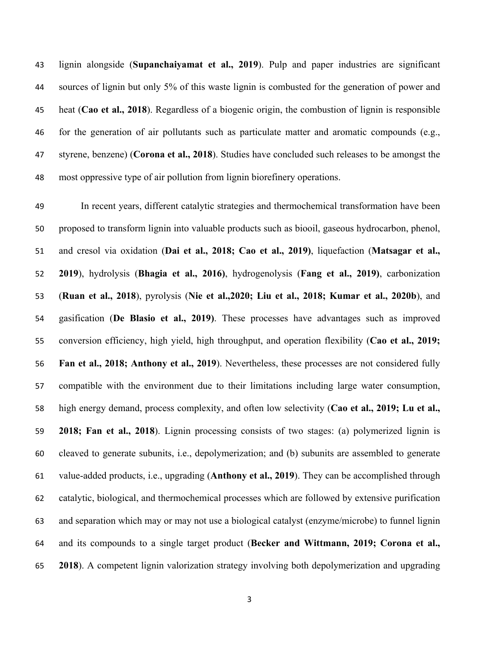lignin alongside (**Supanchaiyamat et al., 2019**). Pulp and paper industries are significant sources of lignin but only 5% of this waste lignin is combusted for the generation of power and heat (**Cao et al., 2018**). Regardless of a biogenic origin, the combustion of lignin is responsible for the generation of air pollutants such as particulate matter and aromatic compounds (e.g., styrene, benzene) (**Corona et al., 2018**). Studies have concluded such releases to be amongst the most oppressive type of air pollution from lignin biorefinery operations.

 In recent years, different catalytic strategies and thermochemical transformation have been proposed to transform lignin into valuable products such as biooil, gaseous hydrocarbon, phenol, and cresol via oxidation (**Dai et al., 2018; Cao et al., 2019)**, liquefaction (**Matsagar et al., 2019**), hydrolysis (**Bhagia et al., 2016)**, hydrogenolysis (**Fang et al., 2019)**, carbonization (**Ruan et al., 2018**), pyrolysis (**Nie et al.,2020; Liu et al., 2018; Kumar et al., 2020b**), and gasification (**De Blasio et al., 2019)**. These processes have advantages such as improved conversion efficiency, high yield, high throughput, and operation flexibility (**Cao et al., 2019; Fan et al., 2018; Anthony et al., 2019**). Nevertheless, these processes are not considered fully compatible with the environment due to their limitations including large water consumption, high energy demand, process complexity, and often low selectivity (**Cao et al., 2019; Lu et al., 2018; Fan et al., 2018**). Lignin processing consists of two stages: (a) polymerized lignin is cleaved to generate subunits, i.e., depolymerization; and (b) subunits are assembled to generate value-added products, i.e., upgrading (**Anthony et al., 2019**). They can be accomplished through catalytic, biological, and thermochemical processes which are followed by extensive purification and separation which may or may not use a biological catalyst (enzyme/microbe) to funnel lignin and its compounds to a single target product (**Becker and Wittmann, 2019; Corona et al., 2018**). A competent lignin valorization strategy involving both depolymerization and upgrading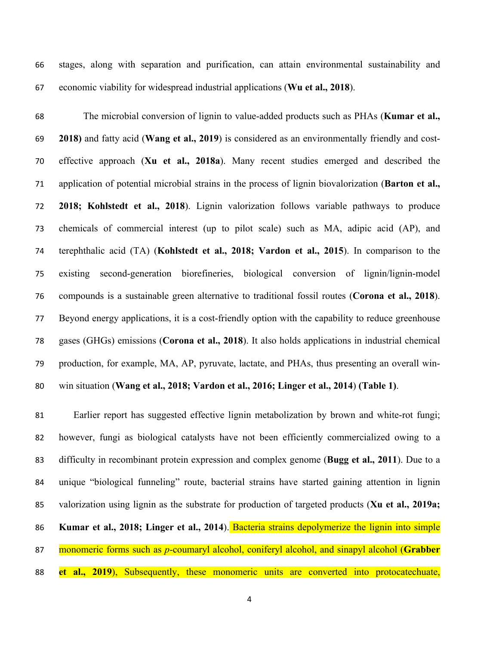stages, along with separation and purification, can attain environmental sustainability and economic viability for widespread industrial applications (**Wu et al., 2018**).

 The microbial conversion of lignin to value-added products such as PHAs (**Kumar et al., 2018)** and fatty acid (**Wang et al., 2019**) is considered as an environmentally friendly and cost- effective approach (**Xu et al., 2018a**). Many recent studies emerged and described the application of potential microbial strains in the process of lignin biovalorization (**Barton et al., 2018; Kohlstedt et al., 2018**). Lignin valorization follows variable pathways to produce chemicals of commercial interest (up to pilot scale) such as MA, adipic acid (AP), and terephthalic acid (TA) (**Kohlstedt et al., 2018; Vardon et al., 2015**). In comparison to the existing second-generation biorefineries, biological conversion of lignin/lignin-model compounds is a sustainable green alternative to traditional fossil routes (**Corona et al., 2018**). Beyond energy applications, it is a cost-friendly option with the capability to reduce greenhouse gases (GHGs) emissions (**Corona et al., 2018**). It also holds applications in industrial chemical production, for example, MA, AP, pyruvate, lactate, and PHAs, thus presenting an overall win-win situation (**Wang et al., 2018; Vardon et al., 2016; Linger et al., 2014**) **(Table 1)**.

 Earlier report has suggested effective lignin metabolization by brown and white-rot fungi; however, fungi as biological catalysts have not been efficiently commercialized owing to a difficulty in recombinant protein expression and complex genome (**Bugg et al., 2011**). Due to a unique "biological funneling" route, bacterial strains have started gaining attention in lignin valorization using lignin as the substrate for production of targeted products (**Xu et al., 2019a; Kumar et al., 2018; Linger et al., 2014**). Bacteria strains depolymerize the lignin into simple monomeric forms such as *p*-coumaryl alcohol, coniferyl alcohol, and sinapyl alcohol (**Grabber et al., 2019**), Subsequently, these monomeric units are converted into protocatechuate,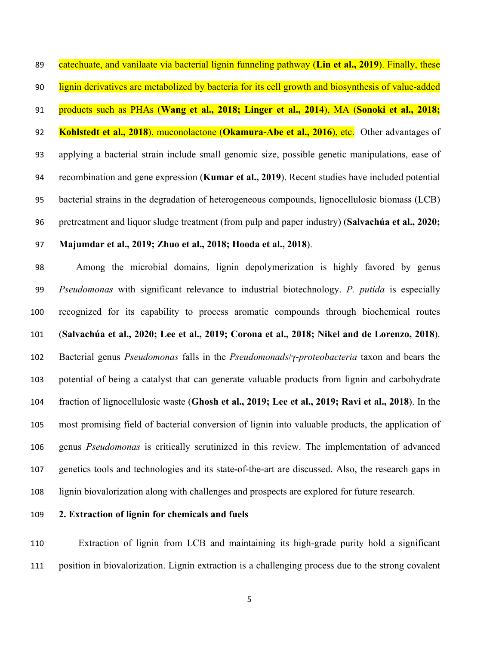catechuate, and vanilaate via bacterial lignin funneling pathway (**Lin et al., 2019**). Finally, these lignin derivatives are metabolized by bacteria for its cell growth and biosynthesis of value-added products such as PHAs (**Wang et al., 2018; Linger et al., 2014**), MA (**Sonoki et al., 2018; Kohlstedt et al., 2018**), muconolactone (**Okamura-Abe et al., 2016**), etc. Other advantages of applying a bacterial strain include small genomic size, possible genetic manipulations, ease of recombination and gene expression (**Kumar et al., 2019**). Recent studies have included potential bacterial strains in the degradation of heterogeneous compounds, lignocellulosic biomass (LCB) pretreatment and liquor sludge treatment (from pulp and paper industry) (**Salvachúa et al., 2020;** 

### **Majumdar et al., 2019; Zhuo et al., 2018; Hooda et al., 2018**).

 Among the microbial domains, lignin depolymerization is highly favored by genus *Pseudomonas* with significant relevance to industrial biotechnology. *P. putida* is especially recognized for its capability to process aromatic compounds through biochemical routes (**Salvachúa et al., 2020; Lee et al., 2019; Corona et al., 2018; Nikel and de Lorenzo, 2018**). Bacterial genus *Pseudomonas* falls in the *Pseudomonads*/γ-*proteobacteria* taxon and bears the potential of being a catalyst that can generate valuable products from lignin and carbohydrate fraction of lignocellulosic waste (**Ghosh et al., 2019; Lee et al., 2019; Ravi et al., 2018**). In the most promising field of bacterial conversion of lignin into valuable products, the application of genus *Pseudomonas* is critically scrutinized in this review. The implementation of advanced genetics tools and technologies and its state**-**of-the-art are discussed. Also, the research gaps in lignin biovalorization along with challenges and prospects are explored for future research.

### **2. Extraction of lignin for chemicals and fuels**

 Extraction of lignin from LCB and maintaining its high-grade purity hold a significant position in biovalorization. Lignin extraction is a challenging process due to the strong covalent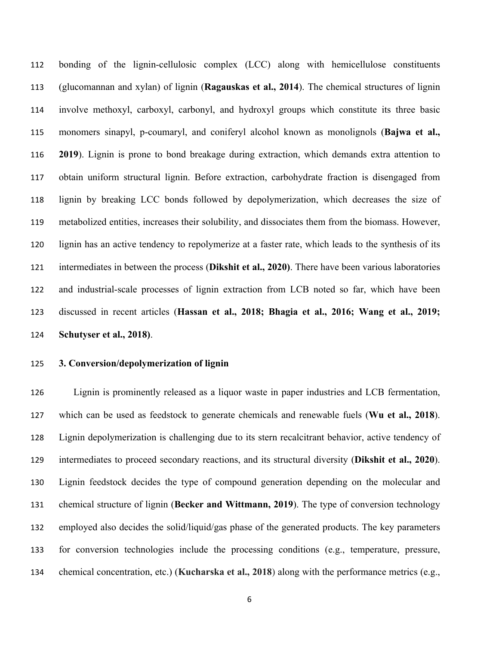bonding of the lignin-cellulosic complex (LCC) along with hemicellulose constituents (glucomannan and xylan) of lignin (**Ragauskas et al., 2014**). The chemical structures of lignin involve methoxyl, carboxyl, carbonyl, and hydroxyl groups which constitute its three basic monomers sinapyl, p-coumaryl, and coniferyl alcohol known as monolignols (**Bajwa et al., 2019**). Lignin is prone to bond breakage during extraction, which demands extra attention to obtain uniform structural lignin. Before extraction, carbohydrate fraction is disengaged from lignin by breaking LCC bonds followed by depolymerization, which decreases the size of metabolized entities, increases their solubility, and dissociates them from the biomass. However, lignin has an active tendency to repolymerize at a faster rate, which leads to the synthesis of its intermediates in between the process (**Dikshit et al., 2020)**. There have been various laboratories and industrial-scale processes of lignin extraction from LCB noted so far, which have been discussed in recent articles (**Hassan et al., 2018; Bhagia et al., 2016; Wang et al., 2019; Schutyser et al., 2018)**.

#### **3. Conversion/depolymerization of lignin**

 Lignin is prominently released as a liquor waste in paper industries and LCB fermentation, which can be used as feedstock to generate chemicals and renewable fuels (**Wu et al., 2018**). Lignin depolymerization is challenging due to its stern recalcitrant behavior, active tendency of intermediates to proceed secondary reactions, and its structural diversity (**Dikshit et al., 2020**). Lignin feedstock decides the type of compound generation depending on the molecular and chemical structure of lignin (**Becker and Wittmann, 2019**). The type of conversion technology employed also decides the solid/liquid/gas phase of the generated products. The key parameters for conversion technologies include the processing conditions (e.g., temperature, pressure, chemical concentration, etc.) (**Kucharska et al., 2018**) along with the performance metrics (e.g.,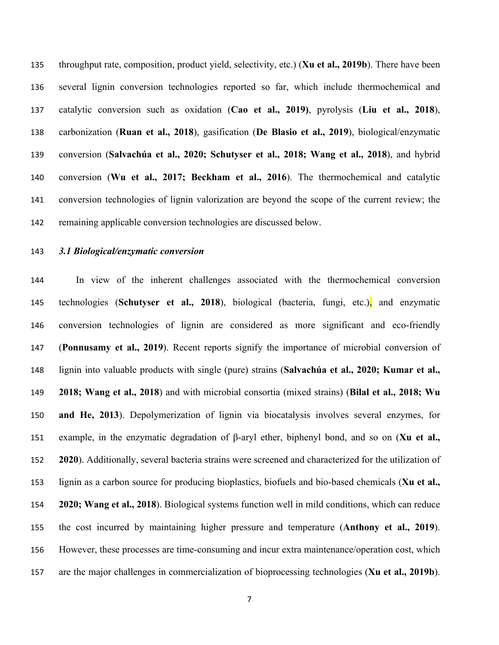throughput rate, composition, product yield, selectivity, etc.) (**Xu et al., 2019b**). There have been several lignin conversion technologies reported so far, which include thermochemical and catalytic conversion such as oxidation (**Cao et al., 2019)**, pyrolysis (**Liu et al., 2018**), carbonization (**Ruan et al., 2018**), gasification (**De Blasio et al., 2019**), biological/enzymatic conversion (**Salvachúa et al., 2020; Schutyser et al., 2018; Wang et al., 2018**), and hybrid conversion (**Wu et al., 2017; Beckham et al., 2016**). The thermochemical and catalytic conversion technologies of lignin valorization are beyond the scope of the current review; the remaining applicable conversion technologies are discussed below.

### *3.1 Biological/enzymatic conversion*

 In view of the inherent challenges associated with the thermochemical conversion technologies (**Schutyser et al., 2018**), biological (bacteria, fungi, etc.), and enzymatic conversion technologies of lignin are considered as more significant and eco-friendly (**Ponnusamy et al., 2019**). Recent reports signify the importance of microbial conversion of lignin into valuable products with single (pure) strains (**Salvachúa et al., 2020; Kumar et al., 2018; Wang et al., 2018**) and with microbial consortia (mixed strains) (**Bilal et al., 2018; Wu and He, 2013**). Depolymerization of lignin via biocatalysis involves several enzymes, for example, in the enzymatic degradation of β-aryl ether, biphenyl bond, and so on (**Xu et al., 2020**). Additionally, several bacteria strains were screened and characterized for the utilization of lignin as a carbon source for producing bioplastics, biofuels and bio-based chemicals (**Xu et al., 2020; Wang et al., 2018**). Biological systems function well in mild conditions, which can reduce the cost incurred by maintaining higher pressure and temperature (**Anthony et al., 2019**). However, these processes are time-consuming and incur extra maintenance/operation cost, which are the major challenges in commercialization of bioprocessing technologies (**Xu et al., 2019b**).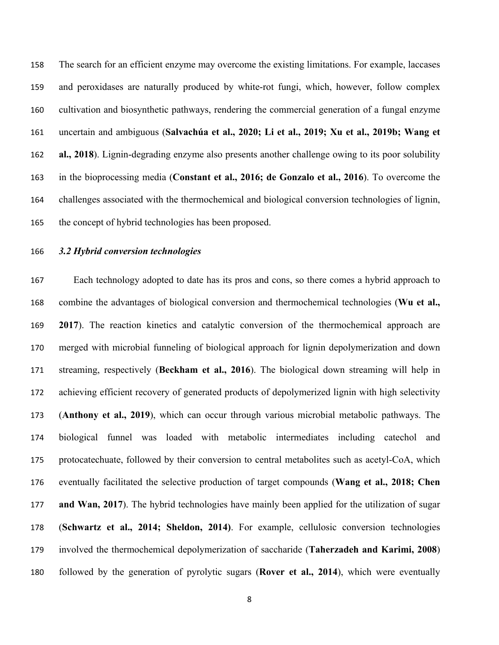The search for an efficient enzyme may overcome the existing limitations. For example, laccases and peroxidases are naturally produced by white-rot fungi, which, however, follow complex cultivation and biosynthetic pathways, rendering the commercial generation of a fungal enzyme uncertain and ambiguous (**Salvachúa et al., 2020; Li et al., 2019; Xu et al., 2019b; Wang et al., 2018**). Lignin-degrading enzyme also presents another challenge owing to its poor solubility in the bioprocessing media (**Constant et al., 2016; de Gonzalo et al., 2016**). To overcome the challenges associated with the thermochemical and biological conversion technologies of lignin, the concept of hybrid technologies has been proposed.

## *3.2 Hybrid conversion technologies*

Each technology adopted to date has its pros and cons, so there comes a hybrid approach to combine the advantages of biological conversion and thermochemical technologies (**Wu et al., 2017**). The reaction kinetics and catalytic conversion of the thermochemical approach are merged with microbial funneling of biological approach for lignin depolymerization and down streaming, respectively (**Beckham et al., 2016**). The biological down streaming will help in achieving efficient recovery of generated products of depolymerized lignin with high selectivity (**Anthony et al., 2019**), which can occur through various microbial metabolic pathways. The biological funnel was loaded with metabolic intermediates including catechol and protocatechuate, followed by their conversion to central metabolites such as acetyl-CoA, which eventually facilitated the selective production of target compounds (**Wang et al., 2018; Chen and Wan, 2017**). The hybrid technologies have mainly been applied for the utilization of sugar (**Schwartz et al., 2014; Sheldon, 2014)**. For example, cellulosic conversion technologies involved the thermochemical depolymerization of saccharide (**Taherzadeh and Karimi, 2008**) followed by the generation of pyrolytic sugars (**Rover et al., 2014**), which were eventually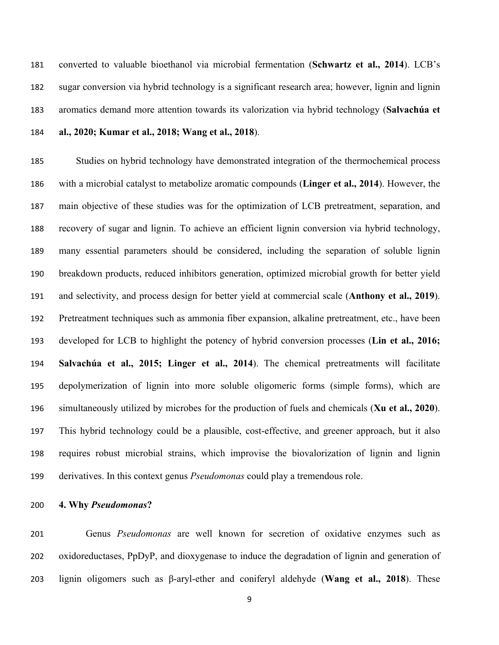converted to valuable bioethanol via microbial fermentation (**Schwartz et al., 2014**). LCB's sugar conversion via hybrid technology is a significant research area; however, lignin and lignin aromatics demand more attention towards its valorization via hybrid technology (**Salvachúa et al., 2020; Kumar et al., 2018; Wang et al., 2018**).

 Studies on hybrid technology have demonstrated integration of the thermochemical process with a microbial catalyst to metabolize aromatic compounds (**Linger et al., 2014**). However, the main objective of these studies was for the optimization of LCB pretreatment, separation, and recovery of sugar and lignin. To achieve an efficient lignin conversion via hybrid technology, many essential parameters should be considered, including the separation of soluble lignin breakdown products, reduced inhibitors generation, optimized microbial growth for better yield and selectivity, and process design for better yield at commercial scale (**Anthony et al., 2019**). Pretreatment techniques such as ammonia fiber expansion, alkaline pretreatment, etc., have been developed for LCB to highlight the potency of hybrid conversion processes (**Lin et al., 2016; Salvachúa et al., 2015; Linger et al., 2014**). The chemical pretreatments will facilitate depolymerization of lignin into more soluble oligomeric forms (simple forms), which are simultaneously utilized by microbes for the production of fuels and chemicals (**Xu et al., 2020**). This hybrid technology could be a plausible, cost-effective, and greener approach, but it also requires robust microbial strains, which improvise the biovalorization of lignin and lignin derivatives. In this context genus *Pseudomonas* could play a tremendous role.

**4. Why** *Pseudomonas***?**

Genus *Pseudomonas* are well known for secretion of oxidative enzymes such as oxidoreductases, PpDyP, and dioxygenase to induce the degradation of lignin and generation of lignin oligomers such as β-aryl-ether and coniferyl aldehyde (**Wang et al., 2018**). These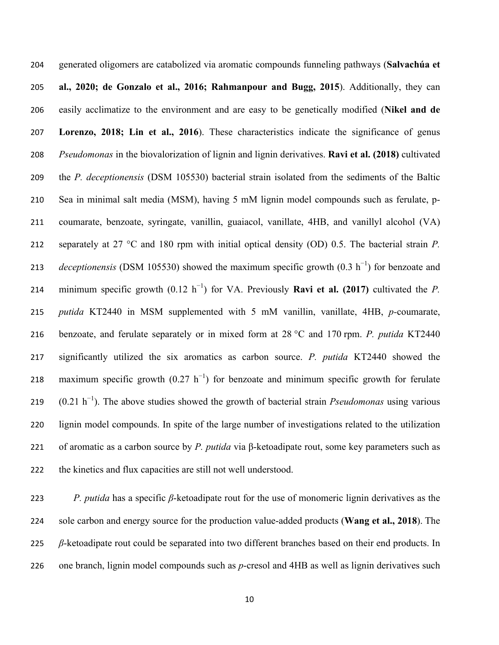generated oligomers are catabolized via aromatic compounds funneling pathways (**Salvachúa et al., 2020; de Gonzalo et al., 2016; Rahmanpour and Bugg, 2015**). Additionally, they can easily acclimatize to the environment and are easy to be genetically modified (**Nikel and de Lorenzo, 2018; Lin et al., 2016**). These characteristics indicate the significance of genus *Pseudomonas* in the biovalorization of lignin and lignin derivatives. **Ravi et al. (2018)** cultivated the *P. deceptionensis* (DSM 105530) bacterial strain isolated from the sediments of the Baltic Sea in minimal salt media (MSM), having 5 mM lignin model compounds such as ferulate, p- coumarate, benzoate, syringate, vanillin, guaiacol, vanillate, 4HB, and vanillyl alcohol (VA) separately at 27 °C and 180 rpm with initial optical density (OD) 0.5. The bacterial strain *P. deceptionensis* (DSM 105530) showed the maximum specific growth (0.3 h<sup>-1</sup>) for benzoate and 214 minimum specific growth  $(0.12 \text{ h}^{-1})$  for VA. Previously **Ravi et al. (2017)** cultivated the *P*. *putida* KT2440 in MSM supplemented with 5 mM vanillin, vanillate, 4HB, *p-*coumarate, benzoate, and ferulate separately or in mixed form at 28 °C and 170 rpm. *P. putida* KT2440 significantly utilized the six aromatics as carbon source. *P. putida* KT2440 showed the 218 maximum specific growth  $(0.27 \text{ h}^{-1})$  for benzoate and minimum specific growth for ferulate (0.21 h<sup>−</sup><sup>1</sup> ). The above studies showed the growth of bacterial strain *Pseudomonas* using various lignin model compounds. In spite of the large number of investigations related to the utilization of aromatic as a carbon source by *P. putida* via β-ketoadipate rout, some key parameters such as the kinetics and flux capacities are still not well understood.

 *P. putida* has a specific *β*-ketoadipate rout for the use of monomeric lignin derivatives as the sole carbon and energy source for the production value-added products (**Wang et al., 2018**). The *β*-ketoadipate rout could be separated into two different branches based on their end products. In one branch, lignin model compounds such as *p*-cresol and 4HB as well as lignin derivatives such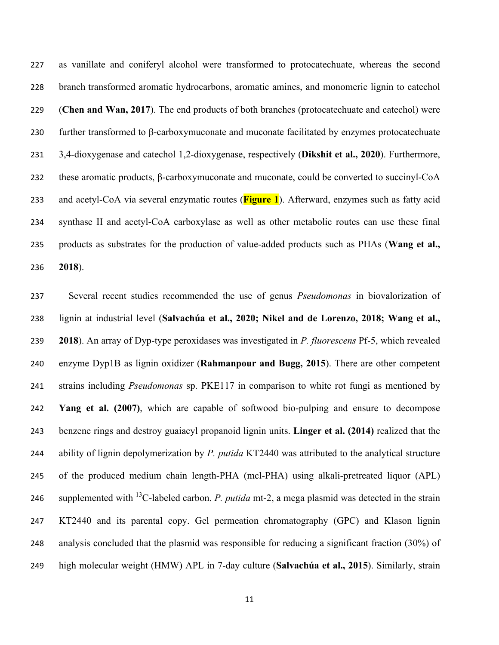as vanillate and coniferyl alcohol were transformed to protocatechuate, whereas the second branch transformed aromatic hydrocarbons, aromatic amines, and monomeric lignin to catechol (**Chen and Wan, 2017**). The end products of both branches (protocatechuate and catechol) were further transformed to β-carboxymuconate and muconate facilitated by enzymes protocatechuate 3,4-dioxygenase and catechol 1,2-dioxygenase, respectively (**Dikshit et al., 2020**). Furthermore, these aromatic products, β-carboxymuconate and muconate, could be converted to succinyl-CoA and acetyl-CoA via several enzymatic routes (**Figure 1**). Afterward, enzymes such as fatty acid synthase II and acetyl-CoA carboxylase as well as other metabolic routes can use these final products as substrates for the production of value-added products such as PHAs (**Wang et al., 2018**).

 Several recent studies recommended the use of genus *Pseudomonas* in biovalorization of lignin at industrial level (**Salvachúa et al., 2020; Nikel and de Lorenzo, 2018; Wang et al., 2018**). An array of Dyp-type peroxidases was investigated in *P. fluorescens* Pf-5, which revealed enzyme Dyp1B as lignin oxidizer (**Rahmanpour and Bugg, 2015**). There are other competent strains including *Pseudomonas* sp. PKE117 in comparison to white rot fungi as mentioned by **Yang et al. (2007)**, which are capable of softwood bio-pulping and ensure to decompose benzene rings and destroy guaiacyl propanoid lignin units. **Linger et al. (2014)** realized that the ability of lignin depolymerization by *P. putida* KT2440 was attributed to the analytical structure of the produced medium chain length-PHA (mcl-PHA) using alkali-pretreated liquor (APL) 246 supplemented with <sup>13</sup>C-labeled carbon. *P. putida* mt-2, a mega plasmid was detected in the strain KT2440 and its parental copy. Gel permeation chromatography (GPC) and Klason lignin analysis concluded that the plasmid was responsible for reducing a significant fraction (30%) of high molecular weight (HMW) APL in 7-day culture (**Salvachúa et al., 2015**). Similarly, strain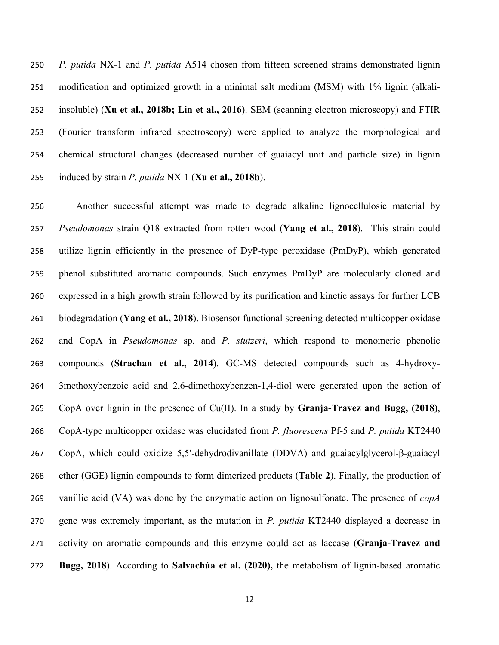*P. putida* NX-1 and *P. putida* A514 chosen from fifteen screened strains demonstrated lignin modification and optimized growth in a minimal salt medium (MSM) with 1% lignin (alkali- insoluble) (**Xu et al., 2018b; Lin et al., 2016**). SEM (scanning electron microscopy) and FTIR (Fourier transform infrared spectroscopy) were applied to analyze the morphological and chemical structural changes (decreased number of guaiacyl unit and particle size) in lignin induced by strain *P. putida* NX-1 (**Xu et al., 2018b**).

Another successful attempt was made to degrade alkaline lignocellulosic material by *Pseudomonas* strain Q18 extracted from rotten wood (**Yang et al., 2018**). This strain could utilize lignin efficiently in the presence of DyP-type peroxidase (PmDyP), which generated phenol substituted aromatic compounds. Such enzymes PmDyP are molecularly cloned and expressed in a high growth strain followed by its purification and kinetic assays for further LCB biodegradation (**Yang et al., 2018**). Biosensor functional screening detected multicopper oxidase and CopA in *Pseudomonas* sp. and *P. stutzeri*, which respond to monomeric phenolic compounds (**Strachan et al., 2014**). GC-MS detected compounds such as 4-hydroxy- 3methoxybenzoic acid and 2,6-dimethoxybenzen-1,4-diol were generated upon the action of CopA over lignin in the presence of Cu(II). In a study by **Granja-Travez and Bugg, (2018)**, CopA-type multicopper oxidase was elucidated from *P. fluorescens* Pf-5 and *P. putida* KT2440 CopA, which could oxidize 5,5′-dehydrodivanillate (DDVA) and guaiacylglycerol-β-guaiacyl ether (GGE) lignin compounds to form dimerized products (**Table 2**). Finally, the production of vanillic acid (VA) was done by the enzymatic action on lignosulfonate. The presence of *copA* gene was extremely important, as the mutation in *P. putida* KT2440 displayed a decrease in activity on aromatic compounds and this enzyme could act as laccase (**Granja-Travez and Bugg, 2018**). According to **Salvachúa et al. (2020),** the metabolism of lignin-based aromatic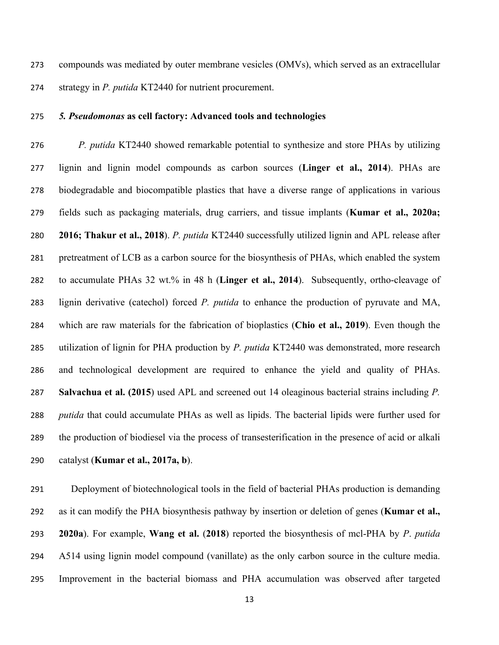compounds was mediated by outer membrane vesicles (OMVs), which served as an extracellular strategy in *P. putida* KT2440 for nutrient procurement.

## *5. Pseudomonas* **as cell factory: Advanced tools and technologies**

 *P. putida* KT2440 showed remarkable potential to synthesize and store PHAs by utilizing lignin and lignin model compounds as carbon sources (**Linger et al., 2014**). PHAs are biodegradable and biocompatible plastics that have a diverse range of applications in various fields such as packaging materials, drug carriers, and tissue implants (**Kumar et al., 2020a; 2016; Thakur et al., 2018**). *P. putida* KT2440 successfully utilized lignin and APL release after pretreatment of LCB as a carbon source for the biosynthesis of PHAs, which enabled the system to accumulate PHAs 32 wt.% in 48 h (**Linger et al., 2014**). Subsequently, ortho-cleavage of lignin derivative (catechol) forced *P. putida* to enhance the production of pyruvate and MA, which are raw materials for the fabrication of bioplastics (**Chio et al., 2019**). Even though the utilization of lignin for PHA production by *P. putida* KT2440 was demonstrated, more research and technological development are required to enhance the yield and quality of PHAs. **Salvachua et al. (2015**) used APL and screened out 14 oleaginous bacterial strains including *P. putida* that could accumulate PHAs as well as lipids. The bacterial lipids were further used for the production of biodiesel via the process of transesterification in the presence of acid or alkali catalyst (**Kumar et al., 2017a, b**).

 Deployment of biotechnological tools in the field of bacterial PHAs production is demanding as it can modify the PHA biosynthesis pathway by insertion or deletion of genes (**Kumar et al., 2020a**). For example, **Wang et al.** (**2018**) reported the biosynthesis of mcl-PHA by *P*. *putida* A514 using lignin model compound (vanillate) as the only carbon source in the culture media. Improvement in the bacterial biomass and PHA accumulation was observed after targeted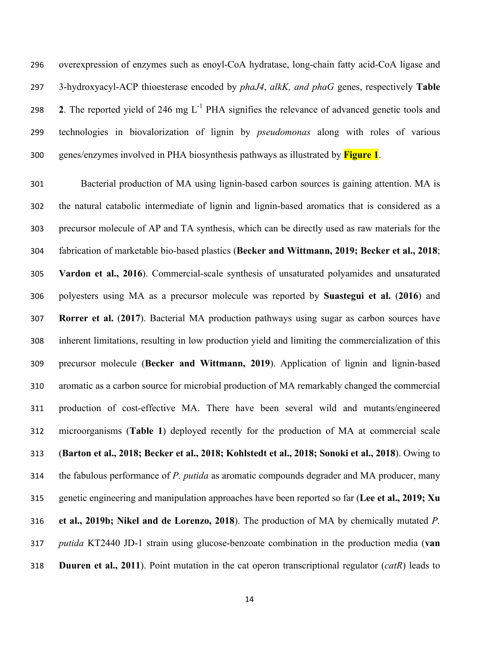overexpression of enzymes such as enoyl-CoA hydratase, long-chain fatty acid-CoA ligase and 3-hydroxyacyl-ACP thioesterase encoded by *phaJ4*, *alkK, and phaG* genes, respectively **Table**  298 2. The reported yield of 246 mg  $L^{-1}$  PHA signifies the relevance of advanced genetic tools and technologies in biovalorization of lignin by *pseudomonas* along with roles of various genes/enzymes involved in PHA biosynthesis pathways as illustrated by **Figure 1**.

 Bacterial production of MA using lignin-based carbon sources is gaining attention. MA is the natural catabolic intermediate of lignin and lignin-based aromatics that is considered as a precursor molecule of AP and TA synthesis, which can be directly used as raw materials for the fabrication of marketable bio-based plastics (**Becker and Wittmann, 2019; Becker et al., 2018**; **Vardon et al., 2016**). Commercial-scale synthesis of unsaturated polyamides and unsaturated polyesters using MA as a precursor molecule was reported by **Suastegui et al.** (**2016**) and **Rorrer et al.** (**2017**). Bacterial MA production pathways using sugar as carbon sources have inherent limitations, resulting in low production yield and limiting the commercialization of this precursor molecule (**Becker and Wittmann, 2019**). Application of lignin and lignin-based aromatic as a carbon source for microbial production of MA remarkably changed the commercial production of cost-effective MA. There have been several wild and mutants/engineered microorganisms (**Table 1**) deployed recently for the production of MA at commercial scale (**Barton et al., 2018; Becker et al., 2018; Kohlstedt et al., 2018; Sonoki et al., 2018**). Owing to the fabulous performance of *P. putida* as aromatic compounds degrader and MA producer, many genetic engineering and manipulation approaches have been reported so far (**Lee et al., 2019; Xu et al., 2019b; Nikel and de Lorenzo, 2018**). The production of MA by chemically mutated *P. putida* KT2440 JD-1 strain using glucose-benzoate combination in the production media (**van Duuren et al., 2011**). Point mutation in the cat operon transcriptional regulator (*catR*) leads to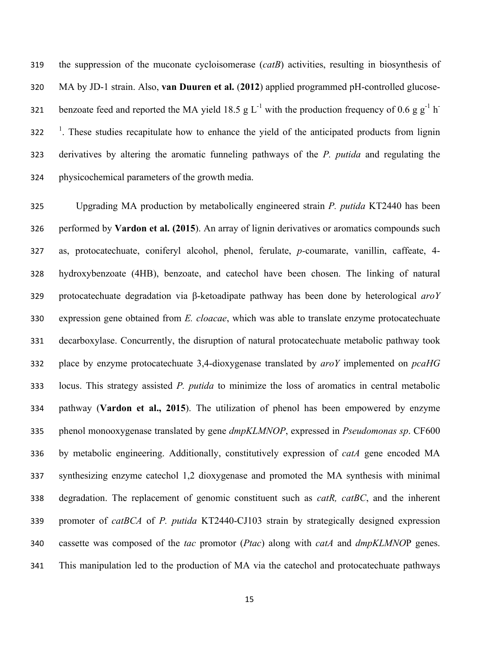the suppression of the muconate cycloisomerase (*catB*) activities, resulting in biosynthesis of MA by JD-1 strain. Also, **van Duuren et al.** (**2012**) applied programmed pH-controlled glucose-321 benzoate feed and reported the MA yield 18.5 g L<sup>-1</sup> with the production frequency of 0.6 g g<sup>-1</sup> h<sup>-</sup> <sup>1</sup>. These studies recapitulate how to enhance the yield of the anticipated products from lignin derivatives by altering the aromatic funneling pathways of the *P. putida* and regulating the physicochemical parameters of the growth media.

 Upgrading MA production by metabolically engineered strain *P. putida* KT2440 has been performed by **Vardon et al. (2015**). An array of lignin derivatives or aromatics compounds such as, protocatechuate, coniferyl alcohol, phenol, ferulate, *p-*coumarate, vanillin, caffeate, 4- hydroxybenzoate (4HB), benzoate, and catechol have been chosen. The linking of natural protocatechuate degradation via β-ketoadipate pathway has been done by heterological *aroY*  expression gene obtained from *E. cloacae*, which was able to translate enzyme protocatechuate decarboxylase. Concurrently, the disruption of natural protocatechuate metabolic pathway took place by enzyme protocatechuate 3,4-dioxygenase translated by *aroY* implemented on *pcaHG* locus. This strategy assisted *P. putida* to minimize the loss of aromatics in central metabolic pathway (**Vardon et al., 2015**). The utilization of phenol has been empowered by enzyme phenol monooxygenase translated by gene *dmpKLMNOP*, expressed in *Pseudomonas sp*. CF600 by metabolic engineering. Additionally, constitutively expression of *catA* gene encoded MA synthesizing enzyme catechol 1,2 dioxygenase and promoted the MA synthesis with minimal degradation. The replacement of genomic constituent such as *catR, catBC*, and the inherent promoter of *catBCA* of *P. putida* KT2440-CJ103 strain by strategically designed expression cassette was composed of the *tac* promotor (*Ptac*) along with *catA* and *dmpKLMNO*P genes. This manipulation led to the production of MA via the catechol and protocatechuate pathways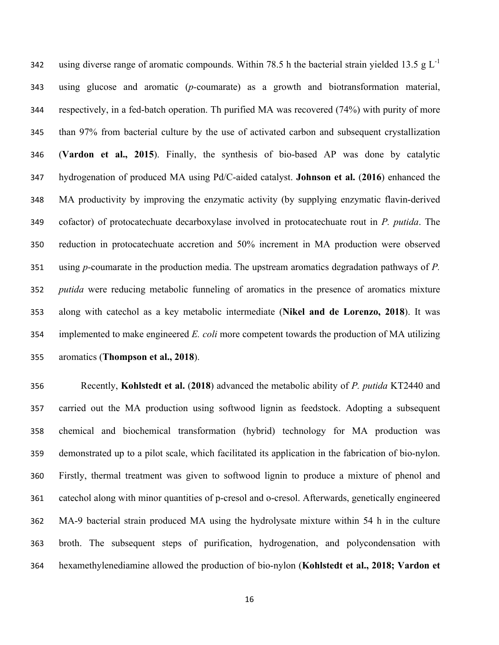342 using diverse range of aromatic compounds. Within 78.5 h the bacterial strain yielded 13.5 g  $L^{-1}$  using glucose and aromatic (*p-*coumarate) as a growth and biotransformation material, respectively, in a fed-batch operation. Th purified MA was recovered (74%) with purity of more than 97% from bacterial culture by the use of activated carbon and subsequent crystallization (**Vardon et al., 2015**). Finally, the synthesis of bio-based AP was done by catalytic hydrogenation of produced MA using Pd/C-aided catalyst. **Johnson et al.** (**2016**) enhanced the MA productivity by improving the enzymatic activity (by supplying enzymatic flavin-derived cofactor) of protocatechuate decarboxylase involved in protocatechuate rout in *P. putida*. The reduction in protocatechuate accretion and 50% increment in MA production were observed using *p-*coumarate in the production media. The upstream aromatics degradation pathways of *P. putida* were reducing metabolic funneling of aromatics in the presence of aromatics mixture along with catechol as a key metabolic intermediate (**Nikel and de Lorenzo, 2018**). It was implemented to make engineered *E. coli* more competent towards the production of MA utilizing aromatics (**Thompson et al., 2018**).

 Recently, **Kohlstedt et al.** (**2018**) advanced the metabolic ability of *P. putida* KT2440 and carried out the MA production using softwood lignin as feedstock. Adopting a subsequent chemical and biochemical transformation (hybrid) technology for MA production was demonstrated up to a pilot scale, which facilitated its application in the fabrication of bio-nylon. Firstly, thermal treatment was given to softwood lignin to produce a mixture of phenol and catechol along with minor quantities of p-cresol and o-cresol. Afterwards, genetically engineered MA-9 bacterial strain produced MA using the hydrolysate mixture within 54 h in the culture broth. The subsequent steps of purification, hydrogenation, and polycondensation with hexamethylenediamine allowed the production of bio-nylon (**Kohlstedt et al., 2018; Vardon et**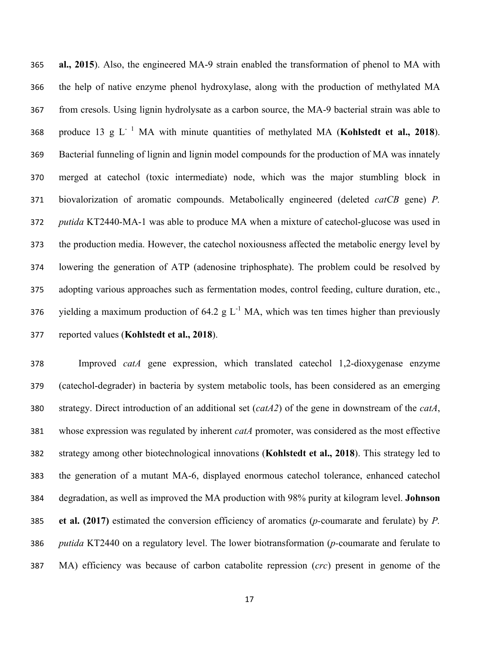**al., 2015**). Also, the engineered MA-9 strain enabled the transformation of phenol to MA with the help of native enzyme phenol hydroxylase, along with the production of methylated MA from cresols. Using lignin hydrolysate as a carbon source, the MA-9 bacterial strain was able to 368 produce 13 g L<sup>-1</sup> MA with minute quantities of methylated MA (**Kohlstedt et al., 2018**). Bacterial funneling of lignin and lignin model compounds for the production of MA was innately merged at catechol (toxic intermediate) node, which was the major stumbling block in biovalorization of aromatic compounds. Metabolically engineered (deleted *catCB* gene) *P. putida* KT2440-MA-1 was able to produce MA when a mixture of catechol-glucose was used in the production media. However, the catechol noxiousness affected the metabolic energy level by lowering the generation of ATP (adenosine triphosphate). The problem could be resolved by adopting various approaches such as fermentation modes, control feeding, culture duration, etc., 376 yielding a maximum production of 64.2 g  $L^{-1}$  MA, which was ten times higher than previously reported values (**Kohlstedt et al., 2018**).

 Improved *catA* gene expression, which translated catechol 1,2-dioxygenase enzyme (catechol-degrader) in bacteria by system metabolic tools, has been considered as an emerging strategy. Direct introduction of an additional set (*catA2*) of the gene in downstream of the *catA*, whose expression was regulated by inherent *catA* promoter, was considered as the most effective strategy among other biotechnological innovations (**Kohlstedt et al., 2018**). This strategy led to the generation of a mutant MA-6, displayed enormous catechol tolerance, enhanced catechol degradation, as well as improved the MA production with 98% purity at kilogram level. **Johnson et al. (2017)** estimated the conversion efficiency of aromatics (*p-*coumarate and ferulate) by *P. putida* KT2440 on a regulatory level. The lower biotransformation (*p-*coumarate and ferulate to MA) efficiency was because of carbon catabolite repression (*crc*) present in genome of the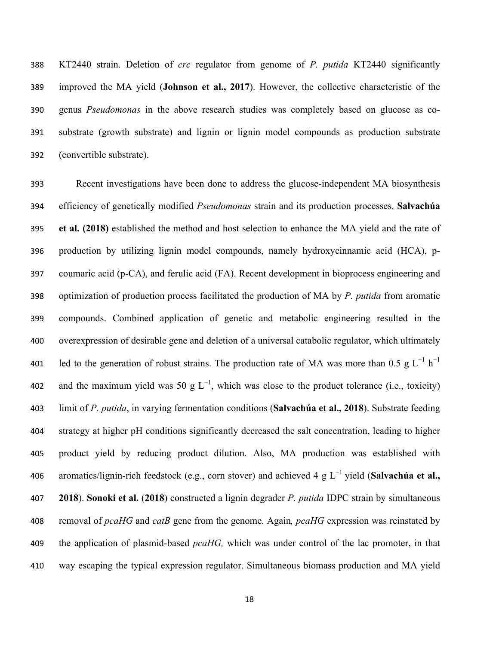KT2440 strain. Deletion of *crc* regulator from genome of *P. putida* KT2440 significantly improved the MA yield (**Johnson et al., 2017**). However, the collective characteristic of the genus *Pseudomonas* in the above research studies was completely based on glucose as co- substrate (growth substrate) and lignin or lignin model compounds as production substrate (convertible substrate).

 Recent investigations have been done to address the glucose-independent MA biosynthesis efficiency of genetically modified *Pseudomonas* strain and its production processes. **Salvachúa et al. (2018)** established the method and host selection to enhance the MA yield and the rate of production by utilizing lignin model compounds, namely hydroxycinnamic acid (HCA), p- coumaric acid (p-CA), and ferulic acid (FA). Recent development in bioprocess engineering and optimization of production process facilitated the production of MA by *P. putida* from aromatic compounds. Combined application of genetic and metabolic engineering resulted in the overexpression of desirable gene and deletion of a universal catabolic regulator, which ultimately 401 led to the generation of robust strains. The production rate of MA was more than 0.5 g L<sup>-1</sup> h<sup>-1</sup> and the maximum yield was 50 g  $L^{-1}$ , which was close to the product tolerance (i.e., toxicity) limit of *P. putida*, in varying fermentation conditions (**Salvachúa et al., 2018**). Substrate feeding strategy at higher pH conditions significantly decreased the salt concentration, leading to higher product yield by reducing product dilution. Also, MA production was established with aromatics/lignin-rich feedstock (e.g., corn stover) and achieved 4 g L<sup>-1</sup> yield (**Salvachúa et al.,** *a*  **2018**). **Sonoki et al.** (**2018**) constructed a lignin degrader *P. putida* IDPC strain by simultaneous removal of *pcaHG* and *catB* gene from the genome*.* Again*, pcaHG* expression was reinstated by the application of plasmid-based *pcaHG,* which was under control of the lac promoter, in that way escaping the typical expression regulator. Simultaneous biomass production and MA yield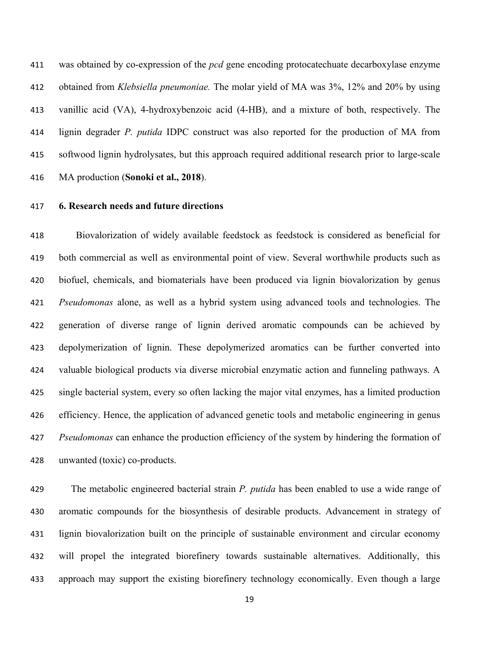was obtained by co-expression of the *pcd* gene encoding protocatechuate decarboxylase enzyme obtained from *Klebsiella pneumoniae.* The molar yield of MA was 3%, 12% and 20% by using vanillic acid (VA), 4-hydroxybenzoic acid (4-HB), and a mixture of both, respectively. The lignin degrader *P. putida* IDPC construct was also reported for the production of MA from softwood lignin hydrolysates, but this approach required additional research prior to large-scale MA production (**Sonoki et al., 2018**).

## **6. Research needs and future directions**

 Biovalorization of widely available feedstock as feedstock is considered as beneficial for both commercial as well as environmental point of view. Several worthwhile products such as biofuel, chemicals, and biomaterials have been produced via lignin biovalorization by genus *Pseudomonas* alone, as well as a hybrid system using advanced tools and technologies. The generation of diverse range of lignin derived aromatic compounds can be achieved by depolymerization of lignin. These depolymerized aromatics can be further converted into valuable biological products via diverse microbial enzymatic action and funneling pathways. A single bacterial system, every so often lacking the major vital enzymes, has a limited production efficiency. Hence, the application of advanced genetic tools and metabolic engineering in genus *Pseudomonas* can enhance the production efficiency of the system by hindering the formation of unwanted (toxic) co-products.

 The metabolic engineered bacterial strain *P. putida* has been enabled to use a wide range of aromatic compounds for the biosynthesis of desirable products. Advancement in strategy of lignin biovalorization built on the principle of sustainable environment and circular economy will propel the integrated biorefinery towards sustainable alternatives. Additionally, this approach may support the existing biorefinery technology economically. Even though a large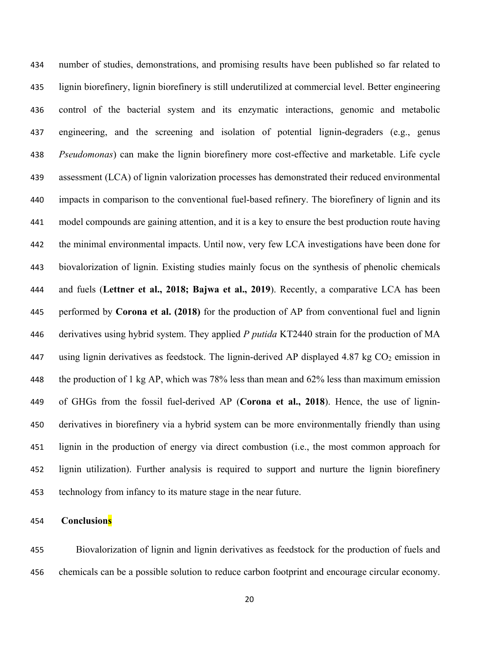number of studies, demonstrations, and promising results have been published so far related to lignin biorefinery, lignin biorefinery is still underutilized at commercial level. Better engineering control of the bacterial system and its enzymatic interactions, genomic and metabolic engineering, and the screening and isolation of potential lignin-degraders (e.g., genus *Pseudomonas*) can make the lignin biorefinery more cost-effective and marketable. Life cycle assessment (LCA) of lignin valorization processes has demonstrated their reduced environmental impacts in comparison to the conventional fuel-based refinery. The biorefinery of lignin and its model compounds are gaining attention, and it is a key to ensure the best production route having the minimal environmental impacts. Until now, very few LCA investigations have been done for biovalorization of lignin. Existing studies mainly focus on the synthesis of phenolic chemicals and fuels (**Lettner et al., 2018; Bajwa et al., 2019**). Recently, a comparative LCA has been performed by **Corona et al. (2018)** for the production of AP from conventional fuel and lignin derivatives using hybrid system. They applied *P putida* KT2440 strain for the production of MA 447 using lignin derivatives as feedstock. The lignin-derived AP displayed 4.87 kg  $CO<sub>2</sub>$  emission in the production of 1 kg AP, which was 78% less than mean and 62% less than maximum emission of GHGs from the fossil fuel-derived AP (**Corona et al., 2018**). Hence, the use of lignin- derivatives in biorefinery via a hybrid system can be more environmentally friendly than using lignin in the production of energy via direct combustion (i.e., the most common approach for lignin utilization). Further analysis is required to support and nurture the lignin biorefinery technology from infancy to its mature stage in the near future.

# **Conclusions**

Biovalorization of lignin and lignin derivatives as feedstock for the production of fuels and chemicals can be a possible solution to reduce carbon footprint and encourage circular economy.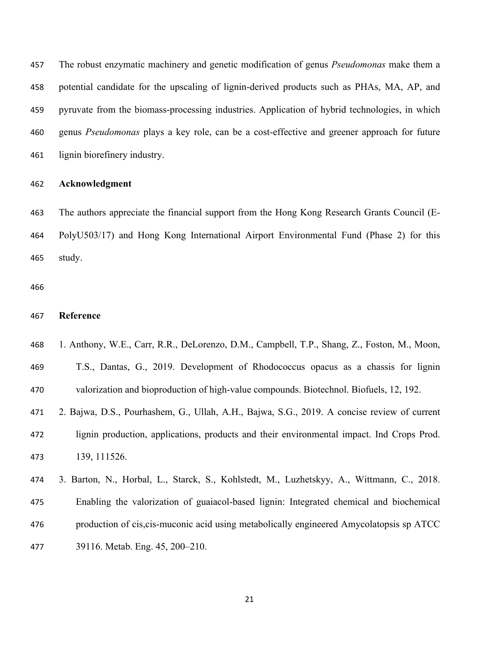The robust enzymatic machinery and genetic modification of genus *Pseudomonas* make them a potential candidate for the upscaling of lignin-derived products such as PHAs, MA, AP, and pyruvate from the biomass-processing industries. Application of hybrid technologies, in which genus *Pseudomonas* plays a key role, can be a cost-effective and greener approach for future lignin biorefinery industry.

### **Acknowledgment**

 The authors appreciate the financial support from the Hong Kong Research Grants Council (E- PolyU503/17) and Hong Kong International Airport Environmental Fund (Phase 2) for this study.

### **Reference**

- 1. Anthony, W.E., Carr, R.R., DeLorenzo, D.M., Campbell, T.P., Shang, Z., Foston, M., Moon,
- T.S., Dantas, G., 2019. Development of Rhodococcus opacus as a chassis for lignin valorization and bioproduction of high-value compounds. Biotechnol. Biofuels, 12, 192.
- 2. Bajwa, D.S., Pourhashem, G., Ullah, A.H., Bajwa, S.G., 2019. A concise review of current lignin production, applications, products and their environmental impact. Ind Crops Prod. 139, 111526.
- 3. Barton, N., Horbal, L., Starck, S., Kohlstedt, M., Luzhetskyy, A., Wittmann, C., 2018. Enabling the valorization of guaiacol-based lignin: Integrated chemical and biochemical production of cis,cis-muconic acid using metabolically engineered Amycolatopsis sp ATCC 39116. Metab. Eng. 45, 200–210.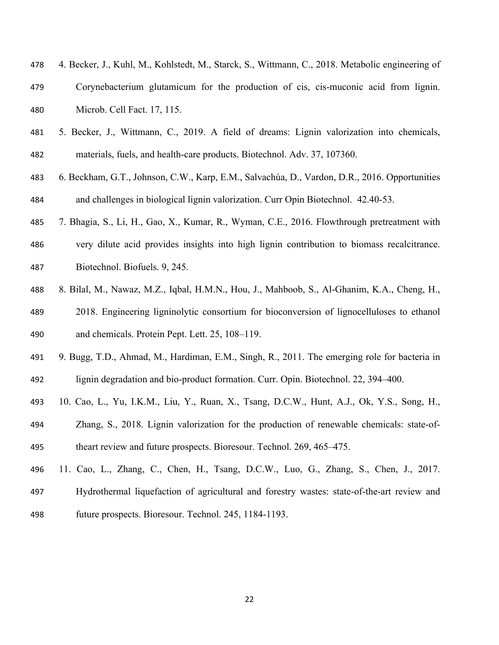| 478 | 4. Becker, J., Kuhl, M., Kohlstedt, M., Starck, S., Wittmann, C., 2018. Metabolic engineering of |
|-----|--------------------------------------------------------------------------------------------------|
| 479 | Corynebacterium glutamicum for the production of cis, cis-muconic acid from lignin.              |
| 480 | Microb. Cell Fact. 17, 115.                                                                      |

- 5. Becker, J., Wittmann, C., 2019. A field of dreams: Lignin valorization into chemicals, materials, fuels, and health-care products. Biotechnol. Adv. 37, 107360.
- 6. Beckham, G.T., Johnson, C.W., Karp, E.M., Salvachúa, D., Vardon, D.R., 2016. Opportunities and challenges in biological lignin valorization. Curr Opin Biotechnol. 42.40-53.
- 7. Bhagia, S., Li, H., Gao, X., Kumar, R., Wyman, C.E., 2016. Flowthrough pretreatment with very dilute acid provides insights into high lignin contribution to biomass recalcitrance. Biotechnol. Biofuels. 9, 245.
- 8. Bilal, M., Nawaz, M.Z., Iqbal, H.M.N., Hou, J., Mahboob, S., Al-Ghanim, K.A., Cheng, H., 2018. Engineering ligninolytic consortium for bioconversion of lignocelluloses to ethanol and chemicals. Protein Pept. Lett. 25, 108–119.
- 9. Bugg, T.D., Ahmad, M., Hardiman, E.M., Singh, R., 2011. The emerging role for bacteria in lignin degradation and bio-product formation. Curr. Opin. Biotechnol. 22, 394–400.
- 10. Cao, L., Yu, I.K.M., Liu, Y., Ruan, X., Tsang, D.C.W., Hunt, A.J., Ok, Y.S., Song, H.,
- Zhang, S., 2018. Lignin valorization for the production of renewable chemicals: state-of-theart review and future prospects. Bioresour. Technol. 269, 465–475.
- 11. Cao, L., Zhang, C., Chen, H., Tsang, D.C.W., Luo, G., Zhang, S., Chen, J., 2017. Hydrothermal liquefaction of agricultural and forestry wastes: state-of-the-art review and future prospects. Bioresour. Technol. 245, 1184-1193.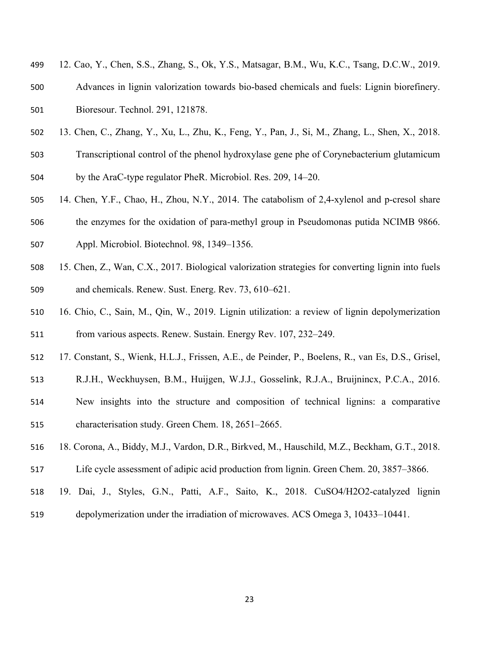- 12. Cao, Y., Chen, S.S., Zhang, S., Ok, Y.S., Matsagar, B.M., Wu, K.C., Tsang, D.C.W., 2019. Advances in lignin valorization towards bio-based chemicals and fuels: Lignin biorefinery. Bioresour. Technol. 291, 121878.
- 13. Chen, C., Zhang, Y., Xu, L., Zhu, K., Feng, Y., Pan, J., Si, M., Zhang, L., Shen, X., 2018.
- Transcriptional control of the phenol hydroxylase gene phe of Corynebacterium glutamicum by the AraC-type regulator PheR. Microbiol. Res. 209, 14–20.
- 14. Chen, Y.F., Chao, H., Zhou, N.Y., 2014. The catabolism of 2,4-xylenol and p-cresol share the enzymes for the oxidation of para-methyl group in Pseudomonas putida NCIMB 9866. Appl. Microbiol. Biotechnol. 98, 1349–1356.
- 15. Chen, Z., Wan, C.X., 2017. Biological valorization strategies for converting lignin into fuels and chemicals. Renew. Sust. Energ. Rev. 73, 610–621.
- 16. Chio, C., Sain, M., Qin, W., 2019. Lignin utilization: a review of lignin depolymerization from various aspects. Renew. Sustain. Energy Rev. 107, 232–249.
- 17. Constant, S., Wienk, H.L.J., Frissen, A.E., de Peinder, P., Boelens, R., van Es, D.S., Grisel,
- R.J.H., Weckhuysen, B.M., Huijgen, W.J.J., Gosselink, R.J.A., Bruijnincx, P.C.A., 2016.
- New insights into the structure and composition of technical lignins: a comparative characterisation study. Green Chem. 18, 2651–2665.
- 18. Corona, A., Biddy, M.J., Vardon, D.R., Birkved, M., Hauschild, M.Z., Beckham, G.T., 2018.
- Life cycle assessment of adipic acid production from lignin. Green Chem. 20, 3857–3866.
- 19. Dai, J., Styles, G.N., Patti, A.F., Saito, K., 2018. CuSO4/H2O2-catalyzed lignin
- depolymerization under the irradiation of microwaves. ACS Omega 3, 10433–10441.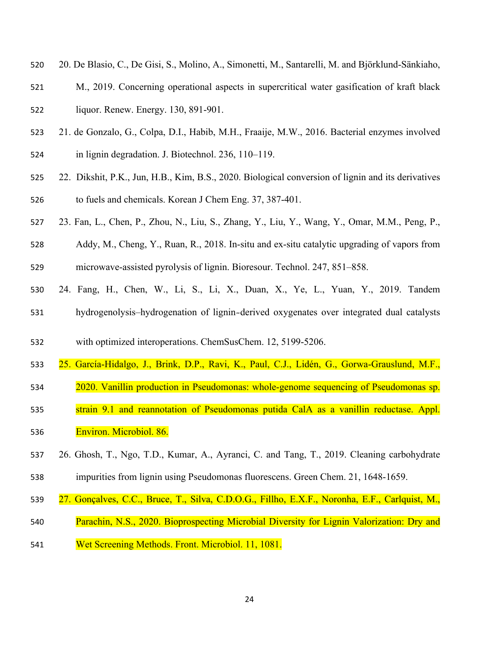- 20. De Blasio, C., De Gisi, S., Molino, A., Simonetti, M., Santarelli, M. and Björklund-Sänkiaho,
- M., 2019. Concerning operational aspects in supercritical water gasification of kraft black liquor. Renew. Energy. 130, 891-901.
- 21. de Gonzalo, G., Colpa, D.I., Habib, M.H., Fraaije, M.W., 2016. Bacterial enzymes involved in lignin degradation. J. Biotechnol. 236, 110–119.
- 22. Dikshit, P.K., Jun, H.B., Kim, B.S., 2020. Biological conversion of lignin and its derivatives to fuels and chemicals. Korean J Chem Eng. 37, 387-401.
- 23. Fan, L., Chen, P., Zhou, N., Liu, S., Zhang, Y., Liu, Y., Wang, Y., Omar, M.M., Peng, P.,
- Addy, M., Cheng, Y., Ruan, R., 2018. In-situ and ex-situ catalytic upgrading of vapors from microwave-assisted pyrolysis of lignin. Bioresour. Technol. 247, 851–858.
- 24. Fang, H., Chen, W., Li, S., Li, X., Duan, X., Ye, L., Yuan, Y., 2019. Tandem hydrogenolysis–hydrogenation of lignin‐derived oxygenates over integrated dual catalysts
- with optimized interoperations. ChemSusChem. 12, 5199-5206.
- 25. García-Hidalgo, J., Brink, D.P., Ravi, K., Paul, C.J., Lidén, G., Gorwa-Grauslund, M.F.,
- 2020. Vanillin production in Pseudomonas: whole-genome sequencing of Pseudomonas sp.
- strain 9.1 and reannotation of Pseudomonas putida CalA as a vanillin reductase. Appl. Environ. Microbiol. 86.
- 26. Ghosh, T., Ngo, T.D., Kumar, A., Ayranci, C. and Tang, T., 2019. Cleaning carbohydrate impurities from lignin using Pseudomonas fluorescens. Green Chem. 21, 1648-1659.
- 27. Gonçalves, C.C., Bruce, T., Silva, C.D.O.G., Fillho, E.X.F., Noronha, E.F., Carlquist, M.,
- Parachin, N.S., 2020. Bioprospecting Microbial Diversity for Lignin Valorization: Dry and
- Wet Screening Methods. Front. Microbiol. 11, 1081.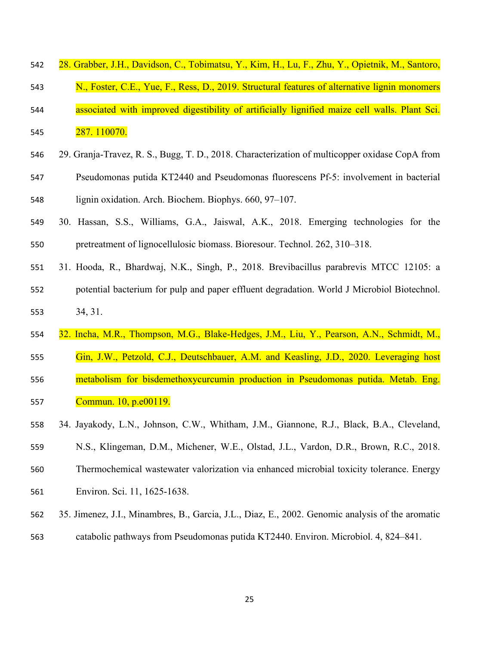- 28. Grabber, J.H., Davidson, C., Tobimatsu, Y., Kim, H., Lu, F., Zhu, Y., Opietnik, M., Santoro,
- N., Foster, C.E., Yue, F., Ress, D., 2019. Structural features of alternative lignin monomers associated with improved digestibility of artificially lignified maize cell walls. Plant Sci. 287. 110070.
- 29. Granja-Travez, R. S., Bugg, T. D., 2018. Characterization of multicopper oxidase CopA from Pseudomonas putida KT2440 and Pseudomonas fluorescens Pf-5: involvement in bacterial lignin oxidation. Arch. Biochem. Biophys. 660, 97–107.
- 30. Hassan, S.S., Williams, G.A., Jaiswal, A.K., 2018. Emerging technologies for the pretreatment of lignocellulosic biomass. Bioresour. Technol. 262, 310–318.
- 31. Hooda, R., Bhardwaj, N.K., Singh, P., 2018. Brevibacillus parabrevis MTCC 12105: a potential bacterium for pulp and paper effluent degradation. World J Microbiol Biotechnol. 34, 31.
- 32. Incha, M.R., Thompson, M.G., Blake-Hedges, J.M., Liu, Y., Pearson, A.N., Schmidt, M.,
- Gin, J.W., Petzold, C.J., Deutschbauer, A.M. and Keasling, J.D., 2020. Leveraging host metabolism for bisdemethoxycurcumin production in Pseudomonas putida. Metab. Eng.
- Commun. 10, p.e00119.
- 34. Jayakody, L.N., Johnson, C.W., Whitham, J.M., Giannone, R.J., Black, B.A., Cleveland,
- N.S., Klingeman, D.M., Michener, W.E., Olstad, J.L., Vardon, D.R., Brown, R.C., 2018.
- Thermochemical wastewater valorization via enhanced microbial toxicity tolerance. Energy Environ. Sci. 11, 1625-1638.
- 35. Jimenez, J.I., Minambres, B., Garcia, J.L., Diaz, E., 2002. Genomic analysis of the aromatic catabolic pathways from Pseudomonas putida KT2440. Environ. Microbiol. 4, 824–841.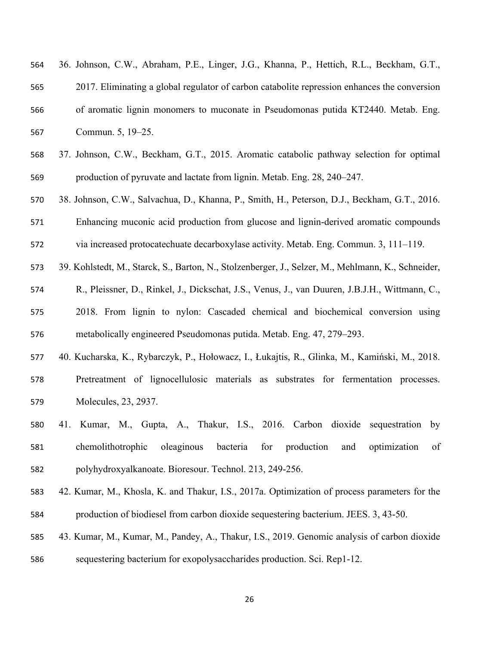| 564 | 36. Johnson, C.W., Abraham, P.E., Linger, J.G., Khanna, P., Hettich, R.L., Beckham, G.T.,          |
|-----|----------------------------------------------------------------------------------------------------|
| 565 | 2017. Eliminating a global regulator of carbon catabolite repression enhances the conversion       |
| 566 | of aromatic lignin monomers to muconate in Pseudomonas putida KT2440. Metab. Eng.                  |
| 567 | Commun. 5, 19-25.                                                                                  |
| 568 | 37. Johnson, C.W., Beckham, G.T., 2015. Aromatic catabolic pathway selection for optimal           |
| 569 | production of pyruvate and lactate from lignin. Metab. Eng. 28, 240–247.                           |
| 570 | 38. Johnson, C.W., Salvachua, D., Khanna, P., Smith, H., Peterson, D.J., Beckham, G.T., 2016.      |
| 571 | Enhancing muconic acid production from glucose and lignin-derived aromatic compounds               |
| 572 | via increased protocatechuate decarboxylase activity. Metab. Eng. Commun. 3, 111-119.              |
| 573 | 39. Kohlstedt, M., Starck, S., Barton, N., Stolzenberger, J., Selzer, M., Mehlmann, K., Schneider, |
| 574 | R., Pleissner, D., Rinkel, J., Dickschat, J.S., Venus, J., van Duuren, J.B.J.H., Wittmann, C.,     |
| 575 | 2018. From lignin to nylon: Cascaded chemical and biochemical conversion using                     |
| 576 | metabolically engineered Pseudomonas putida. Metab. Eng. 47, 279–293.                              |
| 577 | 40. Kucharska, K., Rybarczyk, P., Hołowacz, I., Łukajtis, R., Glinka, M., Kamiński, M., 2018.      |
| 578 | Pretreatment of lignocellulosic materials as substrates for fermentation processes.                |
| 579 | Molecules, 23, 2937.                                                                               |
| 580 | Kumar, M., Gupta, A., Thakur, I.S., 2016. Carbon dioxide<br>by<br>41.<br>sequestration             |
| 581 | chemolithotrophic<br>oleaginous<br>bacteria<br>for<br>production<br>optimization<br>and<br>of      |

- 42. Kumar, M., Khosla, K. and Thakur, I.S., 2017a. Optimization of process parameters for the
- production of biodiesel from carbon dioxide sequestering bacterium. JEES. 3, 43-50.
- 43. Kumar, M., Kumar, M., Pandey, A., Thakur, I.S., 2019. Genomic analysis of carbon dioxide
- sequestering bacterium for exopolysaccharides production. Sci. Rep1-12.

polyhydroxyalkanoate. Bioresour. Technol. 213, 249-256.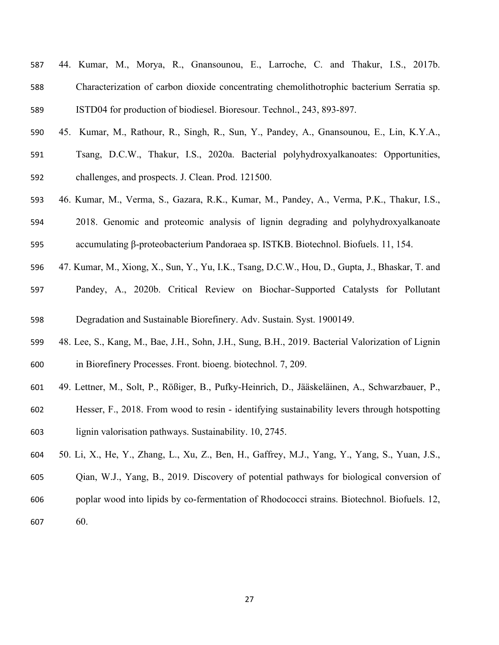- 44. Kumar, M., Morya, R., Gnansounou, E., Larroche, C. and Thakur, I.S., 2017b. Characterization of carbon dioxide concentrating chemolithotrophic bacterium Serratia sp. ISTD04 for production of biodiesel. Bioresour. Technol., 243, 893-897.
- 45. Kumar, M., Rathour, R., Singh, R., Sun, Y., Pandey, A., Gnansounou, E., Lin, K.Y.A., Tsang, D.C.W., Thakur, I.S., 2020a. Bacterial polyhydroxyalkanoates: Opportunities, challenges, and prospects. J. Clean. Prod. 121500.
- 46. Kumar, M., Verma, S., Gazara, R.K., Kumar, M., Pandey, A., Verma, P.K., Thakur, I.S., 2018. Genomic and proteomic analysis of lignin degrading and polyhydroxyalkanoate accumulating β-proteobacterium Pandoraea sp. ISTKB. Biotechnol. Biofuels. 11, 154.
- 47. Kumar, M., Xiong, X., Sun, Y., Yu, I.K., Tsang, D.C.W., Hou, D., Gupta, J., Bhaskar, T. and
- Pandey, A., 2020b. Critical Review on Biochar‐Supported Catalysts for Pollutant
- Degradation and Sustainable Biorefinery. Adv. Sustain. Syst. 1900149.
- 48. Lee, S., Kang, M., Bae, J.H., Sohn, J.H., Sung, B.H., 2019. Bacterial Valorization of Lignin in Biorefinery Processes. Front. bioeng. biotechnol. 7, 209.
- 49. Lettner, M., Solt, P., Rößiger, B., Pufky-Heinrich, D., Jääskeläinen, A., Schwarzbauer, P.,
- Hesser, F., 2018. From wood to resin identifying sustainability levers through hotspotting lignin valorisation pathways. Sustainability. 10, 2745.
- 50. Li, X., He, Y., Zhang, L., Xu, Z., Ben, H., Gaffrey, M.J., Yang, Y., Yang, S., Yuan, J.S., Qian, W.J., Yang, B., 2019. Discovery of potential pathways for biological conversion of poplar wood into lipids by co-fermentation of Rhodococci strains. Biotechnol. Biofuels. 12, 60.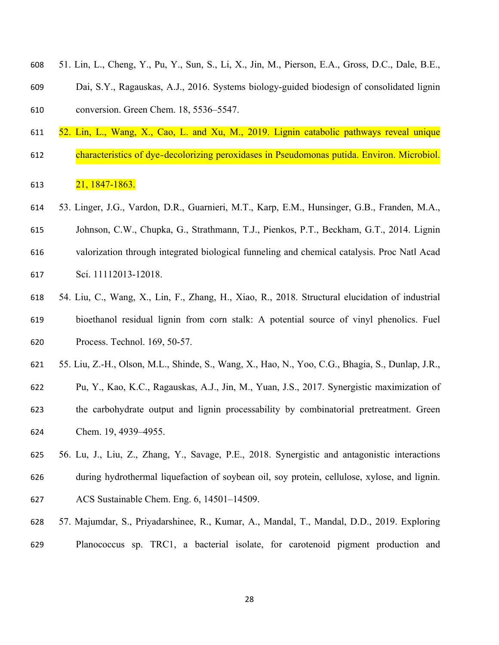- 51. Lin, L., Cheng, Y., Pu, Y., Sun, S., Li, X., Jin, M., Pierson, E.A., Gross, D.C., Dale, B.E.,
- Dai, S.Y., Ragauskas, A.J., 2016. Systems biology-guided biodesign of consolidated lignin conversion. Green Chem. 18, 5536–5547.
- 52. Lin, L., Wang, X., Cao, L. and Xu, M., 2019. Lignin catabolic pathways reveal unique
- 612 characteristics of dye-decolorizing peroxidases in Pseudomonas putida. Environ. Microbiol.

## 21, 1847-1863.

- 53. Linger, J.G., Vardon, D.R., Guarnieri, M.T., Karp, E.M., Hunsinger, G.B., Franden, M.A., Johnson, C.W., Chupka, G., Strathmann, T.J., Pienkos, P.T., Beckham, G.T., 2014. Lignin valorization through integrated biological funneling and chemical catalysis. Proc Natl Acad Sci. 11112013-12018.
- 54. Liu, C., Wang, X., Lin, F., Zhang, H., Xiao, R., 2018. Structural elucidation of industrial bioethanol residual lignin from corn stalk: A potential source of vinyl phenolics. Fuel Process. Technol. 169, 50-57.
- 55. Liu, Z.-H., Olson, M.L., Shinde, S., Wang, X., Hao, N., Yoo, C.G., Bhagia, S., Dunlap, J.R.,
- Pu, Y., Kao, K.C., Ragauskas, A.J., Jin, M., Yuan, J.S., 2017. Synergistic maximization of the carbohydrate output and lignin processability by combinatorial pretreatment. Green Chem. 19, 4939–4955.
- 56. Lu, J., Liu, Z., Zhang, Y., Savage, P.E., 2018. Synergistic and antagonistic interactions during hydrothermal liquefaction of soybean oil, soy protein, cellulose, xylose, and lignin. ACS Sustainable Chem. Eng. 6, 14501–14509.
- 57. Majumdar, S., Priyadarshinee, R., Kumar, A., Mandal, T., Mandal, D.D., 2019. Exploring Planococcus sp. TRC1, a bacterial isolate, for carotenoid pigment production and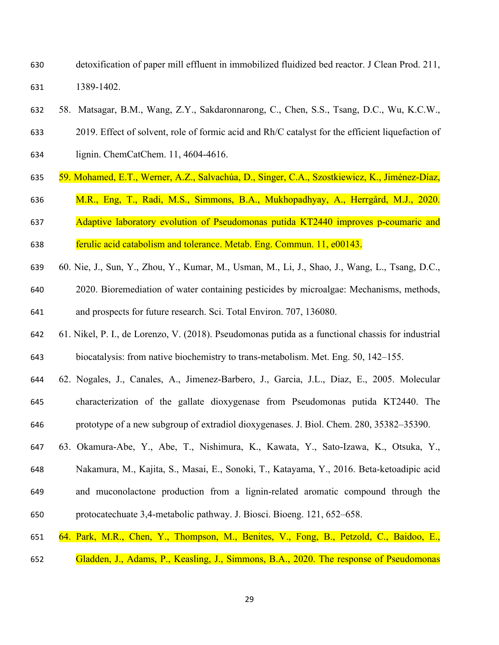detoxification of paper mill effluent in immobilized fluidized bed reactor. J Clean Prod. 211, 1389-1402.

58. Matsagar, B.M., Wang, Z.Y., Sakdaronnarong, C., Chen, S.S., Tsang, D.C., Wu, K.C.W.,

 2019. Effect of solvent, role of formic acid and Rh/C catalyst for the efficient liquefaction of lignin. ChemCatChem. 11, 4604-4616.

- 59. Mohamed, E.T., Werner, A.Z., Salvachúa, D., Singer, C.A., Szostkiewicz, K., Jiménez-Díaz,
- M.R., Eng, T., Radi, M.S., Simmons, B.A., Mukhopadhyay, A., Herrgård, M.J., 2020.

 Adaptive laboratory evolution of Pseudomonas putida KT2440 improves p-coumaric and ferulic acid catabolism and tolerance. Metab. Eng. Commun. 11, e00143.

- 60. Nie, J., Sun, Y., Zhou, Y., Kumar, M., Usman, M., Li, J., Shao, J., Wang, L., Tsang, D.C.,
- 2020. Bioremediation of water containing pesticides by microalgae: Mechanisms, methods, and prospects for future research. Sci. Total Environ. 707, 136080.
- 61. Nikel, P. I., de Lorenzo, V. (2018). Pseudomonas putida as a functional chassis for industrial biocatalysis: from native biochemistry to trans-metabolism. Met. Eng. 50, 142–155.
- 62. Nogales, J., Canales, A., Jimenez-Barbero, J., Garcia, J.L., Diaz, E., 2005. Molecular characterization of the gallate dioxygenase from Pseudomonas putida KT2440. The prototype of a new subgroup of extradiol dioxygenases. J. Biol. Chem. 280, 35382–35390.
- 63. Okamura-Abe, Y., Abe, T., Nishimura, K., Kawata, Y., Sato-Izawa, K., Otsuka, Y., Nakamura, M., Kajita, S., Masai, E., Sonoki, T., Katayama, Y., 2016. Beta-ketoadipic acid and muconolactone production from a lignin-related aromatic compound through the protocatechuate 3,4-metabolic pathway. J. Biosci. Bioeng. 121, 652–658.
- 64. Park, M.R., Chen, Y., Thompson, M., Benites, V., Fong, B., Petzold, C., Baidoo, E.,
- Gladden, J., Adams, P., Keasling, J., Simmons, B.A., 2020. The response of Pseudomonas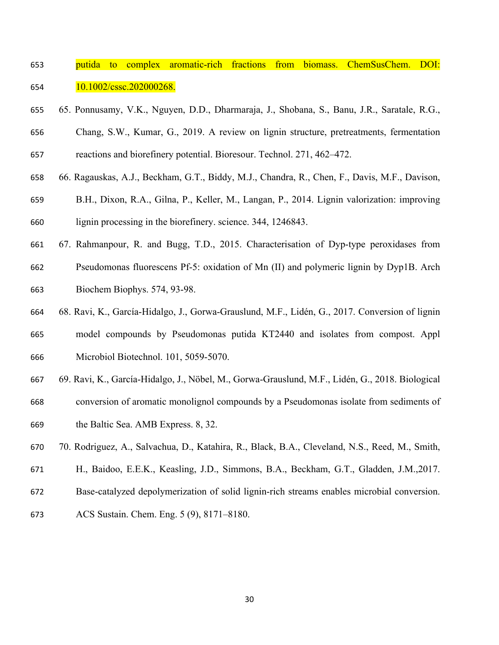- putida to complex aromatic-rich fractions from biomass. ChemSusChem. DOI: 10.1002/cssc.202000268.
- 65. Ponnusamy, V.K., Nguyen, D.D., Dharmaraja, J., Shobana, S., Banu, J.R., Saratale, R.G., Chang, S.W., Kumar, G., 2019. A review on lignin structure, pretreatments, fermentation

reactions and biorefinery potential. Bioresour. Technol. 271, 462–472.

- 66. Ragauskas, A.J., Beckham, G.T., Biddy, M.J., Chandra, R., Chen, F., Davis, M.F., Davison,
- B.H., Dixon, R.A., Gilna, P., Keller, M., Langan, P., 2014. Lignin valorization: improving lignin processing in the biorefinery. science. 344, 1246843.
- 67. Rahmanpour, R. and Bugg, T.D., 2015. Characterisation of Dyp-type peroxidases from Pseudomonas fluorescens Pf-5: oxidation of Mn (II) and polymeric lignin by Dyp1B. Arch Biochem Biophys. 574, 93-98.
- 68. Ravi, K., García-Hidalgo, J., Gorwa-Grauslund, M.F., Lidén, G., 2017. Conversion of lignin model compounds by Pseudomonas putida KT2440 and isolates from compost. Appl Microbiol Biotechnol. 101, 5059-5070.
- 69. Ravi, K., García-Hidalgo, J., Nöbel, M., Gorwa-Grauslund, M.F., Lidén, G., 2018. Biological
- conversion of aromatic monolignol compounds by a Pseudomonas isolate from sediments of the Baltic Sea. AMB Express. 8, 32.
- 70. Rodriguez, A., Salvachua, D., Katahira, R., Black, B.A., Cleveland, N.S., Reed, M., Smith,
- H., Baidoo, E.E.K., Keasling, J.D., Simmons, B.A., Beckham, G.T., Gladden, J.M.,2017.
- Base-catalyzed depolymerization of solid lignin-rich streams enables microbial conversion.
- ACS Sustain. Chem. Eng. 5 (9), 8171–8180.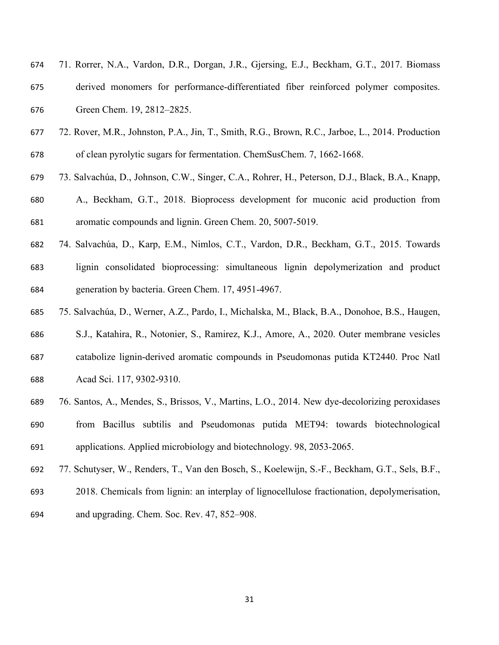| 674 | 71. Rorrer, N.A., Vardon, D.R., Dorgan, J.R., Gjersing, E.J., Beckham, G.T., 2017. Biomass |
|-----|--------------------------------------------------------------------------------------------|
| 675 | derived monomers for performance-differentiated fiber reinforced polymer composites.       |
| 676 | Green Chem. 19, 2812–2825.                                                                 |

- 72. Rover, M.R., Johnston, P.A., Jin, T., Smith, R.G., Brown, R.C., Jarboe, L., 2014. Production of clean pyrolytic sugars for fermentation. ChemSusChem. 7, 1662-1668.
- 73. Salvachúa, D., Johnson, C.W., Singer, C.A., Rohrer, H., Peterson, D.J., Black, B.A., Knapp,
- A., Beckham, G.T., 2018. Bioprocess development for muconic acid production from aromatic compounds and lignin. Green Chem. 20, 5007-5019.
- 74. Salvachúa, D., Karp, E.M., Nimlos, C.T., Vardon, D.R., Beckham, G.T., 2015. Towards lignin consolidated bioprocessing: simultaneous lignin depolymerization and product generation by bacteria. Green Chem. 17, 4951-4967.
- 75. Salvachúa, D., Werner, A.Z., Pardo, I., Michalska, M., Black, B.A., Donohoe, B.S., Haugen,
- S.J., Katahira, R., Notonier, S., Ramirez, K.J., Amore, A., 2020. Outer membrane vesicles catabolize lignin-derived aromatic compounds in Pseudomonas putida KT2440. Proc Natl Acad Sci. 117, 9302-9310.
- 76. Santos, A., Mendes, S., Brissos, V., Martins, L.O., 2014. New dye-decolorizing peroxidases from Bacillus subtilis and Pseudomonas putida MET94: towards biotechnological applications. Applied microbiology and biotechnology. 98, 2053-2065.
- 77. Schutyser, W., Renders, T., Van den Bosch, S., Koelewijn, S.-F., Beckham, G.T., Sels, B.F.,
- 2018. Chemicals from lignin: an interplay of lignocellulose fractionation, depolymerisation,
- and upgrading. Chem. Soc. Rev. 47, 852–908.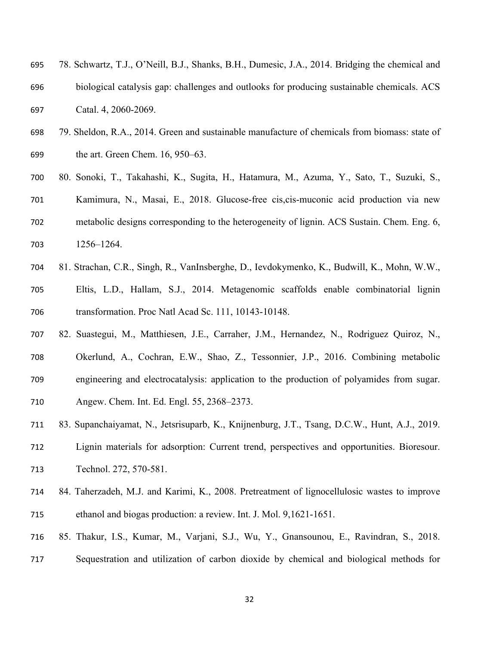- 78. Schwartz, T.J., O'Neill, B.J., Shanks, B.H., Dumesic, J.A., 2014. Bridging the chemical and biological catalysis gap: challenges and outlooks for producing sustainable chemicals. ACS Catal. 4, 2060-2069.
- 79. Sheldon, R.A., 2014. Green and sustainable manufacture of chemicals from biomass: state of the art. Green Chem. 16, 950–63.
- 80. Sonoki, T., Takahashi, K., Sugita, H., Hatamura, M., Azuma, Y., Sato, T., Suzuki, S., Kamimura, N., Masai, E., 2018. Glucose-free cis,cis-muconic acid production via new metabolic designs corresponding to the heterogeneity of lignin. ACS Sustain. Chem. Eng. 6, 1256–1264.
- 81. Strachan, C.R., Singh, R., VanInsberghe, D., Ievdokymenko, K., Budwill, K., Mohn, W.W., Eltis, L.D., Hallam, S.J., 2014. Metagenomic scaffolds enable combinatorial lignin transformation. Proc Natl Acad Sc. 111, 10143-10148.
- 82. Suastegui, M., Matthiesen, J.E., Carraher, J.M., Hernandez, N., Rodriguez Quiroz, N., Okerlund, A., Cochran, E.W., Shao, Z., Tessonnier, J.P., 2016. Combining metabolic engineering and electrocatalysis: application to the production of polyamides from sugar. Angew. Chem. Int. Ed. Engl. 55, 2368–2373.
- 83. Supanchaiyamat, N., Jetsrisuparb, K., Knijnenburg, J.T., Tsang, D.C.W., Hunt, A.J., 2019. Lignin materials for adsorption: Current trend, perspectives and opportunities. Bioresour. Technol. 272, 570-581.
- 84. Taherzadeh, M.J. and Karimi, K., 2008. Pretreatment of lignocellulosic wastes to improve ethanol and biogas production: a review. Int. J. Mol. 9,1621-1651.
- 85. Thakur, I.S., Kumar, M., Varjani, S.J., Wu, Y., Gnansounou, E., Ravindran, S., 2018. Sequestration and utilization of carbon dioxide by chemical and biological methods for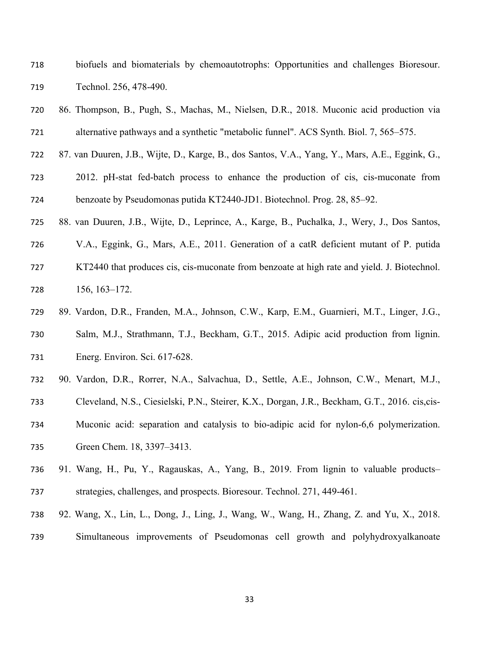- biofuels and biomaterials by chemoautotrophs: Opportunities and challenges Bioresour. Technol. 256, 478-490.
- 86. Thompson, B., Pugh, S., Machas, M., Nielsen, D.R., 2018. Muconic acid production via alternative pathways and a synthetic "metabolic funnel". ACS Synth. Biol. 7, 565–575.
- 87. van Duuren, J.B., Wijte, D., Karge, B., dos Santos, V.A., Yang, Y., Mars, A.E., Eggink, G.,
- 2012. pH-stat fed-batch process to enhance the production of cis, cis-muconate from benzoate by Pseudomonas putida KT2440-JD1. Biotechnol. Prog. 28, 85–92.
- 88. van Duuren, J.B., Wijte, D., Leprince, A., Karge, B., Puchalka, J., Wery, J., Dos Santos,
- V.A., Eggink, G., Mars, A.E., 2011. Generation of a catR deficient mutant of P. putida KT2440 that produces cis, cis-muconate from benzoate at high rate and yield. J. Biotechnol. 156, 163–172.
- 89. Vardon, D.R., Franden, M.A., Johnson, C.W., Karp, E.M., Guarnieri, M.T., Linger, J.G.,
- Salm, M.J., Strathmann, T.J., Beckham, G.T., 2015. Adipic acid production from lignin. Energ. Environ. Sci. 617-628.
- 90. Vardon, D.R., Rorrer, N.A., Salvachua, D., Settle, A.E., Johnson, C.W., Menart, M.J.,
- Cleveland, N.S., Ciesielski, P.N., Steirer, K.X., Dorgan, J.R., Beckham, G.T., 2016. cis,cis-
- Muconic acid: separation and catalysis to bio-adipic acid for nylon-6,6 polymerization.
- Green Chem. 18, 3397–3413.
- 91. Wang, H., Pu, Y., Ragauskas, A., Yang, B., 2019. From lignin to valuable products– strategies, challenges, and prospects. Bioresour. Technol. 271, 449-461.
- 92. Wang, X., Lin, L., Dong, J., Ling, J., Wang, W., Wang, H., Zhang, Z. and Yu, X., 2018.
- Simultaneous improvements of Pseudomonas cell growth and polyhydroxyalkanoate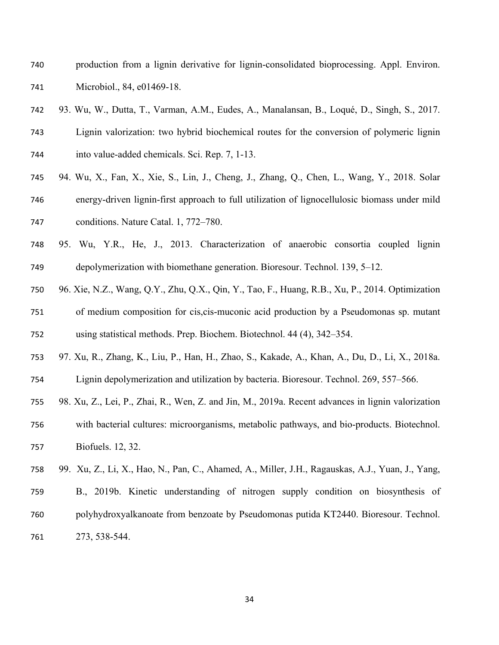- production from a lignin derivative for lignin-consolidated bioprocessing. Appl. Environ. Microbiol., 84, e01469-18.
- 93. Wu, W., Dutta, T., Varman, A.M., Eudes, A., Manalansan, B., Loqué, D., Singh, S., 2017. Lignin valorization: two hybrid biochemical routes for the conversion of polymeric lignin into value-added chemicals. Sci. Rep. 7, 1-13.
- 94. Wu, X., Fan, X., Xie, S., Lin, J., Cheng, J., Zhang, Q., Chen, L., Wang, Y., 2018. Solar energy-driven lignin-first approach to full utilization of lignocellulosic biomass under mild conditions. Nature Catal. 1, 772–780.
- 95. Wu, Y.R., He, J., 2013. Characterization of anaerobic consortia coupled lignin depolymerization with biomethane generation. Bioresour. Technol. 139, 5–12.
- 96. Xie, N.Z., Wang, Q.Y., Zhu, Q.X., Qin, Y., Tao, F., Huang, R.B., Xu, P., 2014. Optimization of medium composition for cis,cis-muconic acid production by a Pseudomonas sp. mutant using statistical methods. Prep. Biochem. Biotechnol. 44 (4), 342–354.
- 97. Xu, R., Zhang, K., Liu, P., Han, H., Zhao, S., Kakade, A., Khan, A., Du, D., Li, X., 2018a.
- Lignin depolymerization and utilization by bacteria. Bioresour. Technol. 269, 557–566.
- 98. Xu, Z., Lei, P., Zhai, R., Wen, Z. and Jin, M., 2019a. Recent advances in lignin valorization with bacterial cultures: microorganisms, metabolic pathways, and bio-products. Biotechnol.
- Biofuels. 12, 32.
- 99. Xu, Z., Li, X., Hao, N., Pan, C., Ahamed, A., Miller, J.H., Ragauskas, A.J., Yuan, J., Yang, B., 2019b. Kinetic understanding of nitrogen supply condition on biosynthesis of polyhydroxyalkanoate from benzoate by Pseudomonas putida KT2440. Bioresour. Technol. 273, 538-544.